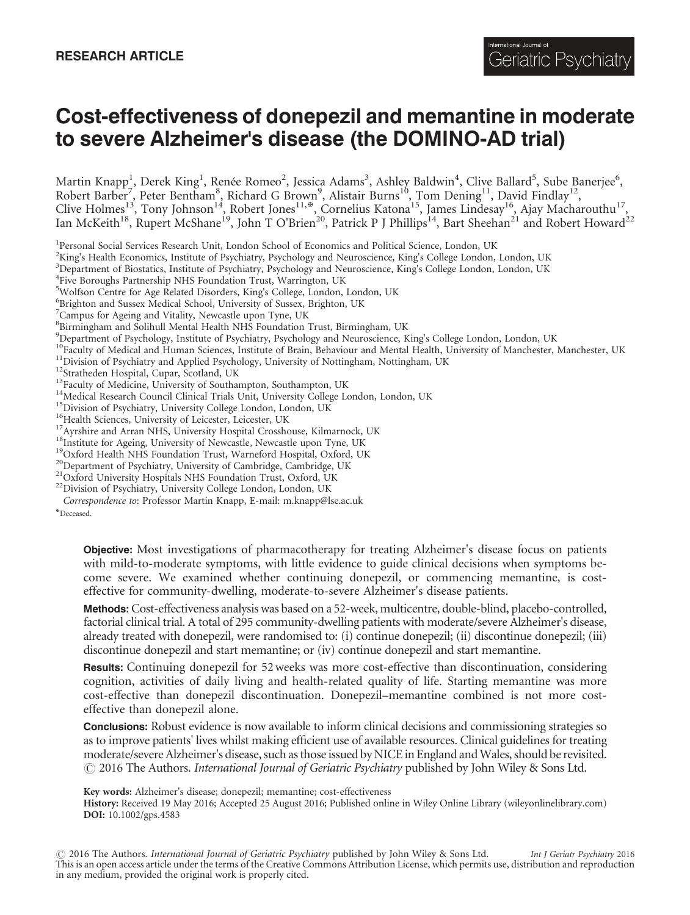# Cost-effectiveness of donepezil and memantine in moderate to severe Alzheimer's disease (the DOMINO-AD trial)

Martin Knapp<sup>1</sup>, Derek King<sup>1</sup>, Renée Romeo<sup>2</sup>, Jessica Adams<sup>3</sup>, Ashley Baldwin<sup>4</sup>, Clive Ballard<sup>5</sup>, Sube Banerjee<sup>6</sup>, Robert Barber<sup>7</sup>, Peter Bentham<sup>8</sup>, Richard G Brown<sup>9</sup>, Alistair Burns<sup>10</sup>, Tom Dening<sup>11</sup>, David Findlay<sup>12</sup>, Clive Holmes<sup>13</sup>, Tony Johnson<sup>14</sup>, Robert Jones<sup>11, $\mathfrak{F}$ </sup>, Cornelius Katona<sup>15</sup>, James Lindesay<sup>16</sup>, Ajay Macharouthu<sup>17</sup>, Ian McKeith<sup>18</sup>, Rupert McShane<sup>19</sup>, John T O'Brien<sup>20</sup>, Patrick P J Phillips<sup>14</sup>, Bart Sheehan<sup>21</sup> and Robert Howard<sup>22</sup>

<sup>1</sup>Personal Social Services Research Unit, London School of Economics and Political Science, London, UK

<sup>2</sup>King's Health Economics, Institute of Psychiatry, Psychology and Neuroscience, King's College London, London, UK

<sup>3</sup>Department of Biostatics, Institute of Psychiatry, Psychology and Neuroscience, King's College London, London, UK

4 Five Boroughs Partnership NHS Foundation Trust, Warrington, UK

5 Wolfson Centre for Age Related Disorders, King's College, London, London, UK

6 Brighton and Sussex Medical School, University of Sussex, Brighton, UK

7 Campus for Ageing and Vitality, Newcastle upon Tyne, UK

8 Birmingham and Solihull Mental Health NHS Foundation Trust, Birmingham, UK

9 Department of Psychology, Institute of Psychiatry, Psychology and Neuroscience, King's College London, London, UK

<sup>10</sup>Faculty of Medical and Human Sciences, Institute of Brain, Behaviour and Mental Health, University of Manchester, UK<br><sup>11</sup>Division of Psychiatry and Applied Psychology, University of Nottingham, Nottingham, UK<br><sup>12</sup>Strat

Correspondence to: Professor Martin Knapp, E-mail: m.knapp@lse.ac.uk

✠Deceased.

Objective: Most investigations of pharmacotherapy for treating Alzheimer's disease focus on patients with mild-to-moderate symptoms, with little evidence to guide clinical decisions when symptoms become severe. We examined whether continuing donepezil, or commencing memantine, is costeffective for community-dwelling, moderate-to-severe Alzheimer's disease patients.

Methods: Cost-effectiveness analysis was based on a 52-week, multicentre, double-blind, placebo-controlled, factorial clinical trial. A total of 295 community-dwelling patients with moderate/severe Alzheimer's disease, already treated with donepezil, were randomised to: (i) continue donepezil; (ii) discontinue donepezil; (iii) discontinue donepezil and start memantine; or (iv) continue donepezil and start memantine.

Results: Continuing donepezil for 52weeks was more cost-effective than discontinuation, considering cognition, activities of daily living and health-related quality of life. Starting memantine was more cost-effective than donepezil discontinuation. Donepezil–memantine combined is not more costeffective than donepezil alone.

**Conclusions:** Robust evidence is now available to inform clinical decisions and commissioning strategies so as to improve patients' lives whilst making efficient use of available resources. Clinical guidelines for treating moderate/severe Alzheimer's disease, such as those issued by NICE in England andWales, should be revisited.  $\odot$  2016 The Authors. *International Journal of Geriatric Psychiatry* published by John Wiley & Sons Ltd.

Key words: Alzheimer's disease; donepezil; memantine; cost-effectiveness

History: Received 19 May 2016; Accepted 25 August 2016; Published online in Wiley Online Library (wileyonlinelibrary.com) DOI: 10.1002/gps.4583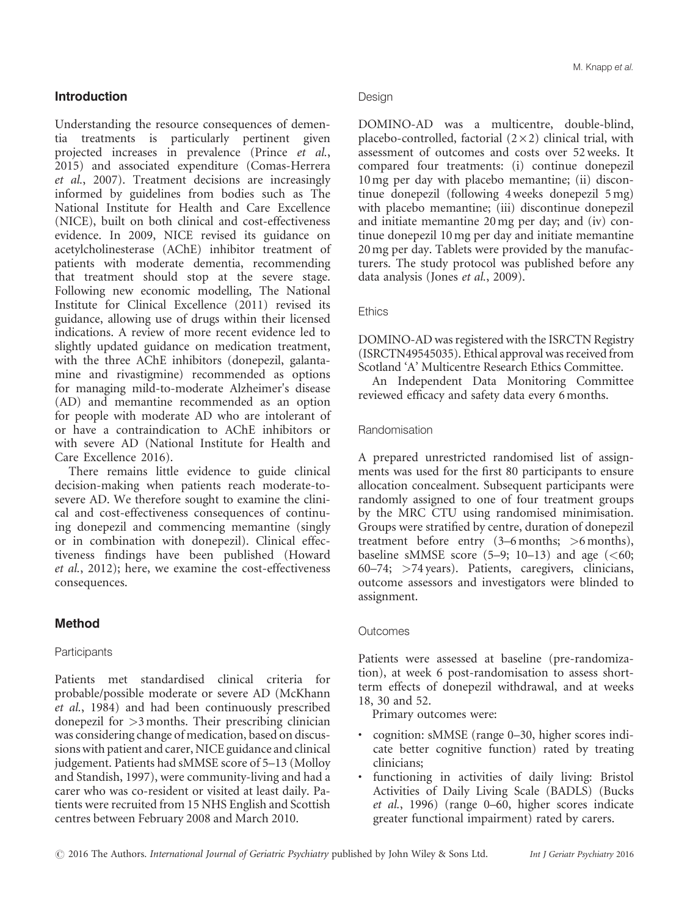# Introduction

Understanding the resource consequences of dementia treatments is particularly pertinent given projected increases in prevalence (Prince et al., 2015) and associated expenditure (Comas-Herrera et al., 2007). Treatment decisions are increasingly informed by guidelines from bodies such as The National Institute for Health and Care Excellence (NICE), built on both clinical and cost-effectiveness evidence. In 2009, NICE revised its guidance on acetylcholinesterase (AChE) inhibitor treatment of patients with moderate dementia, recommending that treatment should stop at the severe stage. Following new economic modelling, The National Institute for Clinical Excellence (2011) revised its guidance, allowing use of drugs within their licensed indications. A review of more recent evidence led to slightly updated guidance on medication treatment, with the three AChE inhibitors (donepezil, galantamine and rivastigmine) recommended as options for managing mild-to-moderate Alzheimer's disease (AD) and memantine recommended as an option for people with moderate AD who are intolerant of or have a contraindication to AChE inhibitors or with severe AD (National Institute for Health and Care Excellence 2016).

There remains little evidence to guide clinical decision-making when patients reach moderate-tosevere AD. We therefore sought to examine the clinical and cost-effectiveness consequences of continuing donepezil and commencing memantine (singly or in combination with donepezil). Clinical effectiveness findings have been published (Howard et al., 2012); here, we examine the cost-effectiveness consequences.

# Method

# **Participants**

Patients met standardised clinical criteria for probable/possible moderate or severe AD (McKhann et al., 1984) and had been continuously prescribed donepezil for >3 months. Their prescribing clinician was considering change of medication, based on discussions with patient and carer, NICE guidance and clinical judgement. Patients had sMMSE score of 5–13 (Molloy and Standish, 1997), were community-living and had a carer who was co-resident or visited at least daily. Patients were recruited from 15 NHS English and Scottish centres between February 2008 and March 2010.

## Design

DOMINO-AD was a multicentre, double-blind, placebo-controlled, factorial  $(2 \times 2)$  clinical trial, with assessment of outcomes and costs over 52 weeks. It compared four treatments: (i) continue donepezil 10 mg per day with placebo memantine; (ii) discontinue donepezil (following 4weeks donepezil 5 mg) with placebo memantine; (iii) discontinue donepezil and initiate memantine 20mg per day; and (iv) continue donepezil 10 mg per day and initiate memantine 20 mg per day. Tablets were provided by the manufacturers. The study protocol was published before any data analysis (Jones et al., 2009).

# **Ethics**

DOMINO-AD was registered with the ISRCTN Registry (ISRCTN49545035). Ethical approval was received from Scotland 'A' Multicentre Research Ethics Committee.

An Independent Data Monitoring Committee reviewed efficacy and safety data every 6months.

# Randomisation

A prepared unrestricted randomised list of assignments was used for the first 80 participants to ensure allocation concealment. Subsequent participants were randomly assigned to one of four treatment groups by the MRC CTU using randomised minimisation. Groups were stratified by centre, duration of donepezil treatment before entry (3–6 months; >6 months), baseline sMMSE score  $(5-9; 10-13)$  and age  $(<60;$ 60–74; >74 years). Patients, caregivers, clinicians, outcome assessors and investigators were blinded to assignment.

# **Outcomes**

Patients were assessed at baseline (pre-randomization), at week 6 post-randomisation to assess shortterm effects of donepezil withdrawal, and at weeks 18, 30 and 52.

Primary outcomes were:

- cognition: sMMSE (range 0–30, higher scores indicate better cognitive function) rated by treating clinicians;
- functioning in activities of daily living: Bristol Activities of Daily Living Scale (BADLS) (Bucks et al., 1996) (range 0–60, higher scores indicate greater functional impairment) rated by carers.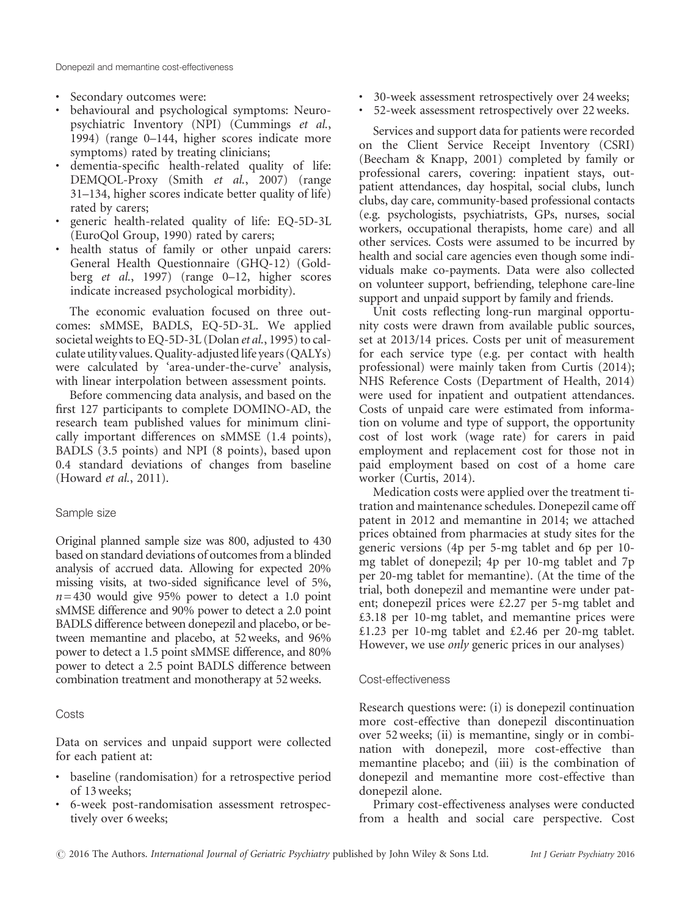Donepezil and memantine cost-effectiveness

- Secondary outcomes were:
- behavioural and psychological symptoms: Neuropsychiatric Inventory (NPI) (Cummings et al., 1994) (range 0–144, higher scores indicate more symptoms) rated by treating clinicians;
- dementia-specific health-related quality of life: DEMQOL-Proxy (Smith et al., 2007) (range 31–134, higher scores indicate better quality of life) rated by carers;
- generic health-related quality of life: EQ-5D-3L (EuroQol Group, 1990) rated by carers;
- health status of family or other unpaid carers: General Health Questionnaire (GHQ-12) (Goldberg et al., 1997) (range 0–12, higher scores indicate increased psychological morbidity).

The economic evaluation focused on three outcomes: sMMSE, BADLS, EQ-5D-3L. We applied societal weights to EQ-5D-3L (Dolan et al., 1995) to calculate utility values. Quality-adjusted life years (QALYs) were calculated by 'area-under-the-curve' analysis, with linear interpolation between assessment points.

Before commencing data analysis, and based on the first 127 participants to complete DOMINO-AD, the research team published values for minimum clinically important differences on sMMSE (1.4 points), BADLS (3.5 points) and NPI (8 points), based upon 0.4 standard deviations of changes from baseline (Howard et al., 2011).

# Sample size

Original planned sample size was 800, adjusted to 430 based on standard deviations of outcomes from a blinded analysis of accrued data. Allowing for expected 20% missing visits, at two-sided significance level of 5%,  $n= 430$  would give 95% power to detect a 1.0 point sMMSE difference and 90% power to detect a 2.0 point BADLS difference between donepezil and placebo, or between memantine and placebo, at 52weeks, and 96% power to detect a 1.5 point sMMSE difference, and 80% power to detect a 2.5 point BADLS difference between combination treatment and monotherapy at 52weeks.

# **Costs**

Data on services and unpaid support were collected for each patient at:

- baseline (randomisation) for a retrospective period of 13weeks;
- 6-week post-randomisation assessment retrospectively over 6weeks;
- 30-week assessment retrospectively over 24weeks;
- 52-week assessment retrospectively over 22weeks.

Services and support data for patients were recorded on the Client Service Receipt Inventory (CSRI) (Beecham & Knapp, 2001) completed by family or professional carers, covering: inpatient stays, outpatient attendances, day hospital, social clubs, lunch clubs, day care, community-based professional contacts (e.g. psychologists, psychiatrists, GPs, nurses, social workers, occupational therapists, home care) and all other services. Costs were assumed to be incurred by health and social care agencies even though some individuals make co-payments. Data were also collected on volunteer support, befriending, telephone care-line support and unpaid support by family and friends.

Unit costs reflecting long-run marginal opportunity costs were drawn from available public sources, set at 2013/14 prices. Costs per unit of measurement for each service type (e.g. per contact with health professional) were mainly taken from Curtis (2014); NHS Reference Costs (Department of Health, 2014) were used for inpatient and outpatient attendances. Costs of unpaid care were estimated from information on volume and type of support, the opportunity cost of lost work (wage rate) for carers in paid employment and replacement cost for those not in paid employment based on cost of a home care worker (Curtis, 2014).

Medication costs were applied over the treatment titration and maintenance schedules. Donepezil came off patent in 2012 and memantine in 2014; we attached prices obtained from pharmacies at study sites for the generic versions (4p per 5-mg tablet and 6p per 10 mg tablet of donepezil; 4p per 10-mg tablet and 7p per 20-mg tablet for memantine). (At the time of the trial, both donepezil and memantine were under patent; donepezil prices were £2.27 per 5-mg tablet and £3.18 per 10-mg tablet, and memantine prices were £1.23 per 10-mg tablet and £2.46 per 20-mg tablet. However, we use only generic prices in our analyses)

# Cost-effectiveness

Research questions were: (i) is donepezil continuation more cost-effective than donepezil discontinuation over 52weeks; (ii) is memantine, singly or in combination with donepezil, more cost-effective than memantine placebo; and (iii) is the combination of donepezil and memantine more cost-effective than donepezil alone.

Primary cost-effectiveness analyses were conducted from a health and social care perspective. Cost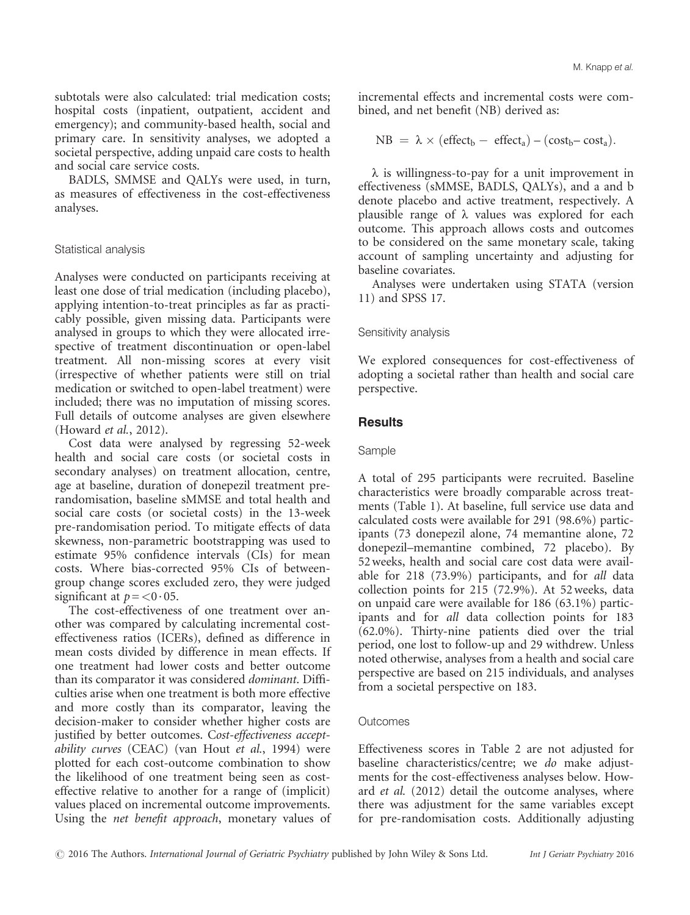subtotals were also calculated: trial medication costs; hospital costs (inpatient, outpatient, accident and emergency); and community-based health, social and primary care. In sensitivity analyses, we adopted a societal perspective, adding unpaid care costs to health and social care service costs.

BADLS, SMMSE and QALYs were used, in turn, as measures of effectiveness in the cost-effectiveness analyses.

#### Statistical analysis

Analyses were conducted on participants receiving at least one dose of trial medication (including placebo), applying intention-to-treat principles as far as practicably possible, given missing data. Participants were analysed in groups to which they were allocated irrespective of treatment discontinuation or open-label treatment. All non-missing scores at every visit (irrespective of whether patients were still on trial medication or switched to open-label treatment) were included; there was no imputation of missing scores. Full details of outcome analyses are given elsewhere (Howard et al., 2012).

Cost data were analysed by regressing 52-week health and social care costs (or societal costs in secondary analyses) on treatment allocation, centre, age at baseline, duration of donepezil treatment prerandomisation, baseline sMMSE and total health and social care costs (or societal costs) in the 13-week pre-randomisation period. To mitigate effects of data skewness, non-parametric bootstrapping was used to estimate 95% confidence intervals (CIs) for mean costs. Where bias-corrected 95% CIs of betweengroup change scores excluded zero, they were judged significant at  $p = < 0.05$ .

The cost-effectiveness of one treatment over another was compared by calculating incremental costeffectiveness ratios (ICERs), defined as difference in mean costs divided by difference in mean effects. If one treatment had lower costs and better outcome than its comparator it was considered dominant. Difficulties arise when one treatment is both more effective and more costly than its comparator, leaving the decision-maker to consider whether higher costs are justified by better outcomes. Cost-effectiveness acceptability curves (CEAC) (van Hout et al., 1994) were plotted for each cost-outcome combination to show the likelihood of one treatment being seen as costeffective relative to another for a range of (implicit) values placed on incremental outcome improvements. Using the net benefit approach, monetary values of incremental effects and incremental costs were combined, and net benefit (NB) derived as:

$$
NB = \lambda \times (effect_b - effect_a) - (cost_b - cost_a).
$$

λ is willingness-to-pay for a unit improvement in effectiveness (sMMSE, BADLS, QALYs), and a and b denote placebo and active treatment, respectively. A plausible range of λ values was explored for each outcome. This approach allows costs and outcomes to be considered on the same monetary scale, taking account of sampling uncertainty and adjusting for baseline covariates.

Analyses were undertaken using STATA (version 11) and SPSS 17.

#### Sensitivity analysis

We explored consequences for cost-effectiveness of adopting a societal rather than health and social care perspective.

# **Results**

## Sample

A total of 295 participants were recruited. Baseline characteristics were broadly comparable across treatments (Table 1). At baseline, full service use data and calculated costs were available for 291 (98.6%) participants (73 donepezil alone, 74 memantine alone, 72 donepezil–memantine combined, 72 placebo). By 52 weeks, health and social care cost data were available for 218 (73.9%) participants, and for all data collection points for 215 (72.9%). At 52weeks, data on unpaid care were available for 186 (63.1%) participants and for all data collection points for 183 (62.0%). Thirty-nine patients died over the trial period, one lost to follow-up and 29 withdrew. Unless noted otherwise, analyses from a health and social care perspective are based on 215 individuals, and analyses from a societal perspective on 183.

## **Outcomes**

Effectiveness scores in Table 2 are not adjusted for baseline characteristics/centre; we do make adjustments for the cost-effectiveness analyses below. Howard et al. (2012) detail the outcome analyses, where there was adjustment for the same variables except for pre-randomisation costs. Additionally adjusting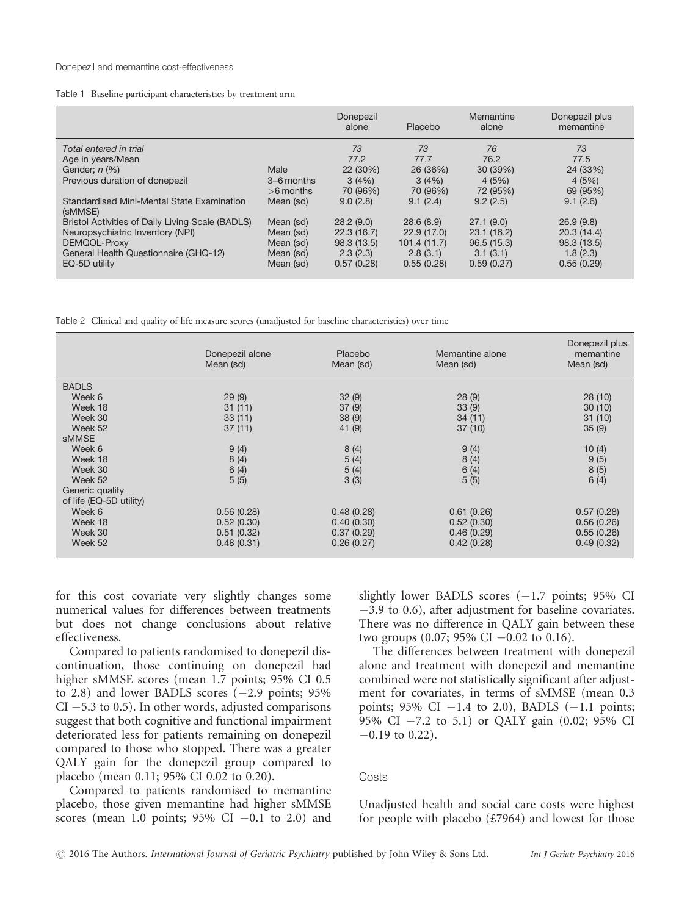| Table 1 Baseline participant characteristics by treatment arm |  |  |  |  |  |
|---------------------------------------------------------------|--|--|--|--|--|
|---------------------------------------------------------------|--|--|--|--|--|

|                                                       |                           | Donepezil<br>alone | Placebo           | Memantine<br>alone | Donepezil plus<br>memantine |
|-------------------------------------------------------|---------------------------|--------------------|-------------------|--------------------|-----------------------------|
| Total entered in trial<br>Age in years/Mean           |                           | 73<br>77.2         | 73<br>77.7        | 76<br>76.2         | 73<br>77.5                  |
| Gender; $n$ $(\%)$                                    | Male                      | 22 (30%)           | 26 (36%)          | 30 (39%)           | 24 (33%)                    |
| Previous duration of donepezil                        | 3–6 months<br>$>6$ months | 3(4%)<br>70 (96%)  | 3(4%)<br>70 (96%) | 4(5%)<br>72 (95%)  | 4(5%)<br>69 (95%)           |
| Standardised Mini-Mental State Examination<br>(sMMSE) | Mean (sd)                 | 9.0(2.8)           | 9.1(2.4)          | 9.2(2.5)           | 9.1(2.6)                    |
| Bristol Activities of Daily Living Scale (BADLS)      | Mean (sd)                 | 28.2(9.0)          | 28.6(8.9)         | 27.1(9.0)          | 26.9(9.8)                   |
| Neuropsychiatric Inventory (NPI)                      | Mean (sd)                 | 22.3(16.7)         | 22.9(17.0)        | 23.1(16.2)         | 20.3(14.4)                  |
| DEMQOL-Proxy                                          | Mean (sd)                 | 98.3(13.5)         | 101.4(11.7)       | 96.5(15.3)         | 98.3 (13.5)                 |
| General Health Questionnaire (GHQ-12)                 | Mean (sd)                 | 2.3(2.3)           | 2.8(3.1)          | 3.1(3.1)           | 1.8(2.3)                    |
| EQ-5D utility                                         | Mean (sd)                 | 0.57(0.28)         | 0.55(0.28)        | 0.59(0.27)         | 0.55(0.29)                  |

Table 2 Clinical and quality of life measure scores (unadjusted for baseline characteristics) over time

|                         | Donepezil alone<br>Mean (sd) | Placebo<br>Mean (sd) | Memantine alone<br>Mean (sd) | Donepezil plus<br>memantine<br>Mean (sd) |
|-------------------------|------------------------------|----------------------|------------------------------|------------------------------------------|
| <b>BADLS</b>            |                              |                      |                              |                                          |
| Week 6                  | 29(9)                        | 32(9)                | 28(9)                        | 28(10)                                   |
| Week 18                 | 31(11)                       | 37(9)                | 33(9)                        | 30(10)                                   |
| Week 30                 | 33(11)                       | 38(9)                | 34(11)                       | 31(10)                                   |
| Week 52                 | 37(11)                       | 41(9)                | 37(10)                       | 35(9)                                    |
| <b>sMMSE</b>            |                              |                      |                              |                                          |
| Week 6                  | 9(4)                         | 8(4)                 | 9(4)                         | 10(4)                                    |
| Week 18                 | 8(4)                         | 5(4)                 | 8(4)                         | 9(5)                                     |
| Week 30                 | 6(4)                         | 5(4)                 | 6(4)                         | 8(5)                                     |
| Week 52                 | 5(5)                         | 3(3)                 | 5(5)                         | 6(4)                                     |
| Generic quality         |                              |                      |                              |                                          |
| of life (EQ-5D utility) |                              |                      |                              |                                          |
| Week 6                  | 0.56(0.28)                   | 0.48(0.28)           | 0.61(0.26)                   | 0.57(0.28)                               |
| Week 18                 | 0.52(0.30)                   | 0.40(0.30)           | 0.52(0.30)                   | 0.56(0.26)                               |
| Week 30                 | 0.51(0.32)                   | 0.37(0.29)           | 0.46(0.29)                   | 0.55(0.26)                               |
| Week 52                 | 0.48(0.31)                   | 0.26(0.27)           | 0.42(0.28)                   | 0.49(0.32)                               |

for this cost covariate very slightly changes some numerical values for differences between treatments but does not change conclusions about relative effectiveness.

Compared to patients randomised to donepezil discontinuation, those continuing on donepezil had higher sMMSE scores (mean 1.7 points; 95% CI 0.5 to 2.8) and lower BADLS scores  $(-2.9 \text{ points}; 95\%)$  $CI - 5.3$  to 0.5). In other words, adjusted comparisons suggest that both cognitive and functional impairment deteriorated less for patients remaining on donepezil compared to those who stopped. There was a greater QALY gain for the donepezil group compared to placebo (mean 0.11; 95% CI 0.02 to 0.20).

Compared to patients randomised to memantine placebo, those given memantine had higher sMMSE scores (mean 1.0 points;  $95\%$  CI  $-0.1$  to 2.0) and slightly lower BADLS scores  $(-1.7 \text{ points}; 95\% \text{ CI})$  $-3.9$  to 0.6), after adjustment for baseline covariates. There was no difference in QALY gain between these two groups  $(0.07; 95\% \text{ CI} - 0.02 \text{ to } 0.16)$ .

The differences between treatment with donepezil alone and treatment with donepezil and memantine combined were not statistically significant after adjustment for covariates, in terms of sMMSE (mean 0.3 points; 95% CI  $-1.4$  to 2.0), BADLS  $(-1.1 \text{ points};$ 95% CI  $-7.2$  to 5.1) or QALY gain (0.02; 95% CI  $-0.19$  to 0.22).

#### **Costs**

Unadjusted health and social care costs were highest for people with placebo  $(\text{\textsterling}7964)$  and lowest for those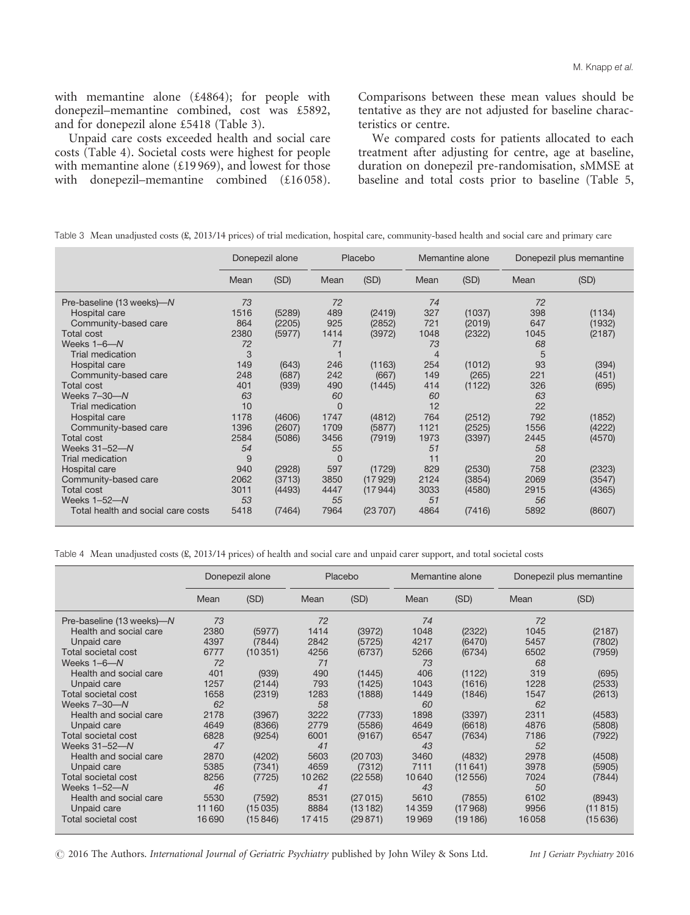with memantine alone (£4864); for people with donepezil–memantine combined, cost was £5892, and for donepezil alone £5418 (Table 3).

Unpaid care costs exceeded health and social care costs (Table 4). Societal costs were highest for people with memantine alone (£19 969), and lowest for those with donepezil–memantine combined (£16058).

Comparisons between these mean values should be tentative as they are not adjusted for baseline characteristics or centre.

We compared costs for patients allocated to each treatment after adjusting for centre, age at baseline, duration on donepezil pre-randomisation, sMMSE at baseline and total costs prior to baseline (Table 5,

|  |  |  |  | Table 3 Mean unadjusted costs $(\frac{6}{2}, 2013/14$ prices) of trial medication, hospital care, community-based health and social care and primary care |  |  |  |
|--|--|--|--|-----------------------------------------------------------------------------------------------------------------------------------------------------------|--|--|--|
|  |  |  |  |                                                                                                                                                           |  |  |  |

|                                                                                                                                                                                                                                                                                                                                 |                                                                                                     | Donepezil alone                                                                     |                                                                                                     | Placebo                                                                               |                                                                                                   | Memantine alone                                                                       |                                                                                                  | Donepezil plus memantine                                                            |
|---------------------------------------------------------------------------------------------------------------------------------------------------------------------------------------------------------------------------------------------------------------------------------------------------------------------------------|-----------------------------------------------------------------------------------------------------|-------------------------------------------------------------------------------------|-----------------------------------------------------------------------------------------------------|---------------------------------------------------------------------------------------|---------------------------------------------------------------------------------------------------|---------------------------------------------------------------------------------------|--------------------------------------------------------------------------------------------------|-------------------------------------------------------------------------------------|
|                                                                                                                                                                                                                                                                                                                                 | Mean                                                                                                | (SD)                                                                                | Mean                                                                                                | (SD)                                                                                  | Mean                                                                                              | (SD)                                                                                  | Mean                                                                                             | (SD)                                                                                |
| Pre-baseline (13 weeks)-N<br>Hospital care<br>Community-based care<br><b>Total cost</b><br>Weeks $1-6-N$<br><b>Trial medication</b><br>Hospital care<br>Community-based care<br><b>Total cost</b><br>Weeks $7-30-M$<br><b>Trial medication</b><br>Hospital care<br>Community-based care<br><b>Total cost</b><br>Weeks $31-52-M$ | 73<br>1516<br>864<br>2380<br>72<br>3<br>149<br>248<br>401<br>63<br>10<br>1178<br>1396<br>2584<br>54 | (5289)<br>(2205)<br>(5977)<br>(643)<br>(687)<br>(939)<br>(4606)<br>(2607)<br>(5086) | 72<br>489<br>925<br>1414<br>71<br>246<br>242<br>490<br>60<br>$\Omega$<br>1747<br>1709<br>3456<br>55 | (2419)<br>(2852)<br>(3972)<br>(1163)<br>(667)<br>(1445)<br>(4812)<br>(5877)<br>(7919) | 74<br>327<br>721<br>1048<br>73<br>4<br>254<br>149<br>414<br>60<br>12<br>764<br>1121<br>1973<br>51 | (1037)<br>(2019)<br>(2322)<br>(1012)<br>(265)<br>(1122)<br>(2512)<br>(2525)<br>(3397) | 72<br>398<br>647<br>1045<br>68<br>5<br>93<br>221<br>326<br>63<br>22<br>792<br>1556<br>2445<br>58 | (1134)<br>(1932)<br>(2187)<br>(394)<br>(451)<br>(695)<br>(1852)<br>(4222)<br>(4570) |
| Trial medication<br>Hospital care<br>Community-based care<br><b>Total cost</b><br>Weeks $1-52-M$<br>Total health and social care costs                                                                                                                                                                                          | 9<br>940<br>2062<br>3011<br>53<br>5418                                                              | (2928)<br>(3713)<br>(4493)<br>(7464)                                                | 0<br>597<br>3850<br>4447<br>55<br>7964                                                              | (1729)<br>(17929)<br>(17944)<br>(23707)                                               | 11<br>829<br>2124<br>3033<br>51<br>4864                                                           | (2530)<br>(3854)<br>(4580)<br>(7416)                                                  | 20<br>758<br>2069<br>2915<br>56<br>5892                                                          | (2323)<br>(3547)<br>(4365)<br>(8607)                                                |

Table 4 Mean unadjusted costs (£, 2013/14 prices) of health and social care and unpaid carer support, and total societal costs

|                                                                     | Donepezil alone    |                            |                     | Placebo                    |                     | Memantine alone    |                    | Donepezil plus memantine   |
|---------------------------------------------------------------------|--------------------|----------------------------|---------------------|----------------------------|---------------------|--------------------|--------------------|----------------------------|
|                                                                     | Mean               | (SD)                       | Mean                | (SD)                       | Mean                | (SD)               | Mean               | (SD)                       |
| Pre-baseline (13 weeks)-N<br>Health and social care                 | 73<br>2380         | (5977)                     | 72<br>1414          | (3972)                     | 74<br>1048          | (2322)             | 72<br>1045         | (2187)                     |
| Unpaid care<br>Total societal cost<br>Weeks $1-6-N$                 | 4397<br>6777<br>72 | (7844)<br>(10351)          | 2842<br>4256<br>71  | (5725)<br>(6737)           | 4217<br>5266<br>73  | (6470)<br>(6734)   | 5457<br>6502<br>68 | (7802)<br>(7959)           |
| Health and social care<br>Unpaid care                               | 401<br>1257        | (939)<br>(2144)            | 490<br>793          | (1445)<br>(1425)           | 406<br>1043         | (1122)<br>(1616)   | 319<br>1228        | (695)<br>(2533)            |
| Total societal cost<br>Weeks $7 - 30 - N$<br>Health and social care | 1658<br>62<br>2178 | (2319)                     | 1283<br>58<br>3222  | (1888)                     | 1449<br>60<br>1898  | (1846)<br>(3397)   | 1547<br>62<br>2311 | (2613)                     |
| Unpaid care<br>Total societal cost                                  | 4649<br>6828       | (3967)<br>(8366)<br>(9254) | 2779<br>6001        | (7733)<br>(5586)<br>(9167) | 4649<br>6547        | (6618)<br>(7634)   | 4876<br>7186       | (4583)<br>(5808)<br>(7922) |
| Weeks 31-52-N<br>Health and social care                             | 47<br>2870         | (4202)                     | 41<br>5603          | (20703)                    | 43<br>3460          | (4832)             | 52<br>2978         | (4508)                     |
| Unpaid care<br>Total societal cost<br>Weeks $1-52-M$                | 5385<br>8256<br>46 | (7341)<br>(7725)           | 4659<br>10262<br>41 | (7312)<br>(22558)          | 7111<br>10640<br>43 | (11641)<br>(12556) | 3978<br>7024<br>50 | (5905)<br>(7844)           |
| Health and social care<br>Unpaid care                               | 5530<br>11 160     | (7592)<br>(15035)          | 8531<br>8884        | (27015)<br>(13182)         | 5610<br>14359       | (7855)<br>(17968)  | 6102<br>9956       | (8943)<br>(11815)          |
| <b>Total societal cost</b>                                          | 16690              | (15846)                    | 17415               | (29871)                    | 19969               | (19 186)           | 16058              | (15 636)                   |

 $\degree$  2016 The Authors. International Journal of Geriatric Psychiatry published by John Wiley & Sons Ltd. Int J Geriatr Psychiatry 2016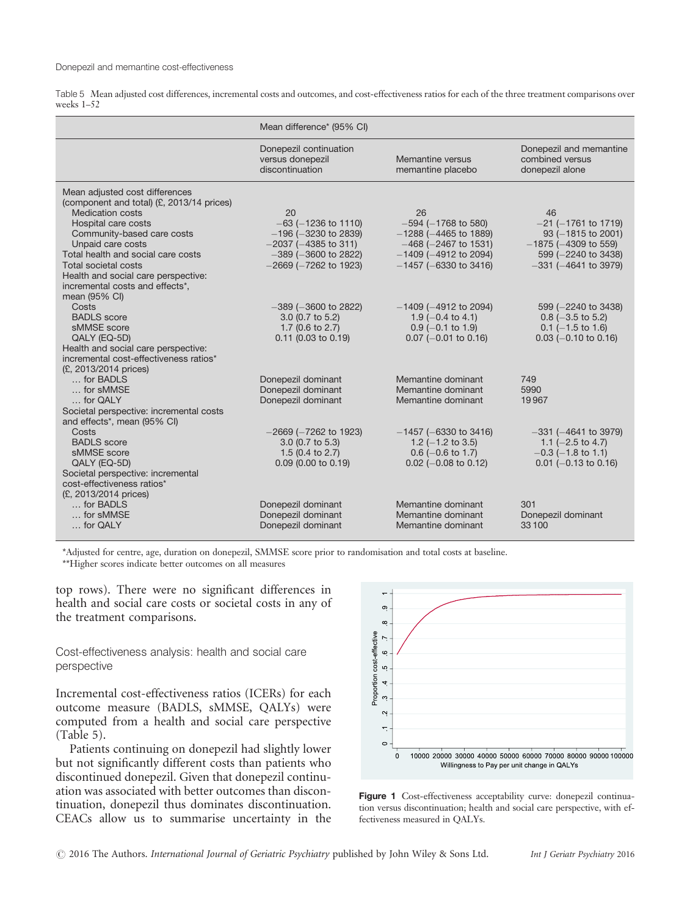Table 5 Mean adjusted cost differences, incremental costs and outcomes, and cost-effectiveness ratios for each of the three treatment comparisons over weeks 1–52

|                                                                                                                                                                                                                                                                                       | Mean difference* (95% CI)                                                                                                                           |                                                                                                                                                    |                                                                                                                                                  |
|---------------------------------------------------------------------------------------------------------------------------------------------------------------------------------------------------------------------------------------------------------------------------------------|-----------------------------------------------------------------------------------------------------------------------------------------------------|----------------------------------------------------------------------------------------------------------------------------------------------------|--------------------------------------------------------------------------------------------------------------------------------------------------|
|                                                                                                                                                                                                                                                                                       | Donepezil continuation<br>versus donepezil<br>discontinuation                                                                                       | Memantine versus<br>memantine placebo                                                                                                              | Donepezil and memantine<br>combined versus<br>donepezil alone                                                                                    |
| Mean adjusted cost differences<br>(component and total) (£, 2013/14 prices)<br><b>Medication costs</b><br>Hospital care costs<br>Community-based care costs<br>Unpaid care costs<br>Total health and social care costs<br>Total societal costs<br>Health and social care perspective: | 20<br>$-63$ ( $-1236$ to 1110)<br>$-196$ ( $-3230$ to 2839)<br>$-2037$ ( $-4385$ to 311)<br>$-389$ ( $-3600$ to 2822)<br>$-2669$ ( $-7262$ to 1923) | 26<br>$-594$ ( $-1768$ to 580)<br>$-1288$ ( $-4465$ to 1889)<br>$-468$ ( $-2467$ to 1531)<br>$-1409$ ( $-4912$ to 2094)<br>$-1457$ (-6330 to 3416) | 46<br>$-21$ ( $-1761$ to 1719)<br>$93 (-1815 \text{ to } 2001)$<br>$-1875$ ( $-4309$ to 559)<br>599 (-2240 to 3438)<br>$-331$ ( $-4641$ to 3979) |
| incremental costs and effects*,<br>mean (95% CI)<br>Costs<br><b>BADLS</b> score<br>sMMSE score<br>QALY (EQ-5D)<br>Health and social care perspective:<br>incremental cost-effectiveness ratios*<br>(£, 2013/2014 prices)                                                              | $-389$ ( $-3600$ to 2822)<br>$3.0$ (0.7 to 5.2)<br>1.7 $(0.6 \text{ to } 2.7)$<br>$0.11$ (0.03 to 0.19)                                             | $-1409$ ( $-4912$ to 2094)<br>1.9 ( $-0.4$ to 4.1)<br>$0.9$ (-0.1 to 1.9)<br>$0.07$ (-0.01 to 0.16)                                                | 599 (-2240 to 3438)<br>$0.8$ (-3.5 to 5.2)<br>$0.1$ (-1.5 to 1.6)<br>$0.03$ (-0.10 to 0.16)                                                      |
| for BADLS<br>for sMMSE<br>for QALY<br>Societal perspective: incremental costs<br>and effects*, mean (95% CI)                                                                                                                                                                          | Donepezil dominant<br>Donepezil dominant<br>Donepezil dominant                                                                                      | Memantine dominant<br>Memantine dominant<br>Memantine dominant                                                                                     | 749<br>5990<br>19967                                                                                                                             |
| Costs<br><b>BADLS</b> score<br>sMMSE score<br>QALY (EQ-5D)<br>Societal perspective: incremental<br>cost-effectiveness ratios*                                                                                                                                                         | $-2669$ ( $-7262$ to 1923)<br>$3.0$ (0.7 to 5.3)<br>1.5 $(0.4 \text{ to } 2.7)$<br>$0.09$ (0.00 to 0.19)                                            | $-1457$ (-6330 to 3416)<br>1.2 $(-1.2$ to 3.5)<br>$0.6$ (-0.6 to 1.7)<br>$0.02$ (-0.08 to 0.12)                                                    | $-331$ ( $-4641$ to 3979)<br>1.1 $(-2.5 \text{ to } 4.7)$<br>$-0.3$ ( $-1.8$ to 1.1)<br>$0.01$ (-0.13 to 0.16)                                   |
| (£, 2013/2014 prices)<br>for BADLS<br>for sMMSE<br>for QALY                                                                                                                                                                                                                           | Donepezil dominant<br>Donepezil dominant<br>Donepezil dominant                                                                                      | Memantine dominant<br>Memantine dominant<br>Memantine dominant                                                                                     | 301<br>Donepezil dominant<br>33 100                                                                                                              |

\*Adjusted for centre, age, duration on donepezil, SMMSE score prior to randomisation and total costs at baseline.

\*\*Higher scores indicate better outcomes on all measures

top rows). There were no significant differences in health and social care costs or societal costs in any of the treatment comparisons.

Cost-effectiveness analysis: health and social care perspective

Incremental cost-effectiveness ratios (ICERs) for each outcome measure (BADLS, sMMSE, QALYs) were computed from a health and social care perspective (Table 5).

Patients continuing on donepezil had slightly lower but not significantly different costs than patients who discontinued donepezil. Given that donepezil continuation was associated with better outcomes than discontinuation, donepezil thus dominates discontinuation. CEACs allow us to summarise uncertainty in the



Figure 1 Cost-effectiveness acceptability curve: donepezil continuation versus discontinuation; health and social care perspective, with effectiveness measured in QALYs.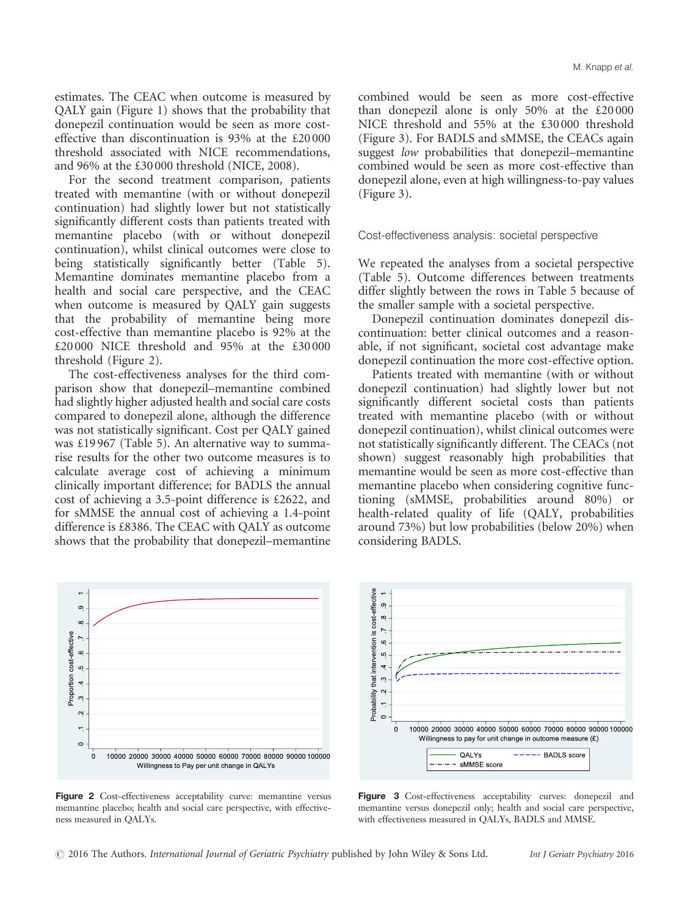estimates. The CEAC when outcome is measured by QALY gain (Figure 1) shows that the probability that donepezil continuation would be seen as more costeffective than discontinuation is 93% at the £20 000 threshold associated with NICE recommendations, and 96% at the £30 000 threshold (NICE, 2008).

For the second treatment comparison, patients treated with memantine (with or without donepezil continuation) had slightly lower but not statistically significantly different costs than patients treated with memantine placebo (with or without donepezil continuation), whilst clinical outcomes were close to being statistically significantly better (Table 5). Memantine dominates memantine placebo from a health and social care perspective, and the CEAC when outcome is measured by QALY gain suggests that the probability of memantine being more cost-effective than memantine placebo is 92% at the  $\text{\pounds}20000$  NICE threshold and 95% at the £30000 threshold (Figure 2).

The cost-effectiveness analyses for the third comparison show that donepezil–memantine combined had slightly higher adjusted health and social care costs compared to donepezil alone, although the difference was not statistically significant. Cost per QALY gained was £19 967 (Table 5). An alternative way to summarise results for the other two outcome measures is to calculate average cost of achieving a minimum clinically important difference; for BADLS the annual cost of achieving a 3.5-point difference is £2622, and for sMMSE the annual cost of achieving a 1.4-point difference is £8386. The CEAC with QALY as outcome shows that the probability that donepezil–memantine

combined would be seen as more cost-effective than donepezil alone is only 50% at the £20 000 NICE threshold and 55% at the £30 000 threshold (Figure 3). For BADLS and sMMSE, the CEACs again suggest low probabilities that donepezil–memantine combined would be seen as more cost-effective than donepezil alone, even at high willingness-to-pay values (Figure 3).

Cost-effectiveness analysis: societal perspective

We repeated the analyses from a societal perspective (Table 5). Outcome differences between treatments differ slightly between the rows in Table 5 because of the smaller sample with a societal perspective.

Donepezil continuation dominates donepezil discontinuation: better clinical outcomes and a reasonable, if not significant, societal cost advantage make donepezil continuation the more cost-effective option.

Patients treated with memantine (with or without donepezil continuation) had slightly lower but not significantly different societal costs than patients treated with memantine placebo (with or without donepezil continuation), whilst clinical outcomes were not statistically significantly different. The CEACs (not shown) suggest reasonably high probabilities that memantine would be seen as more cost-effective than memantine placebo when considering cognitive functioning (sMMSE, probabilities around 80%) or health-related quality of life (QALY, probabilities around 73%) but low probabilities (below 20%) when considering BADLS.



Figure 2 Cost-effectiveness acceptability curve: memantine versus memantine placebo; health and social care perspective, with effectiveness measured in QALYs.



Figure 3 Cost-effectiveness acceptability curves: donepezil and memantine versus donepezil only; health and social care perspective, with effectiveness measured in QALYs, BADLS and MMSE.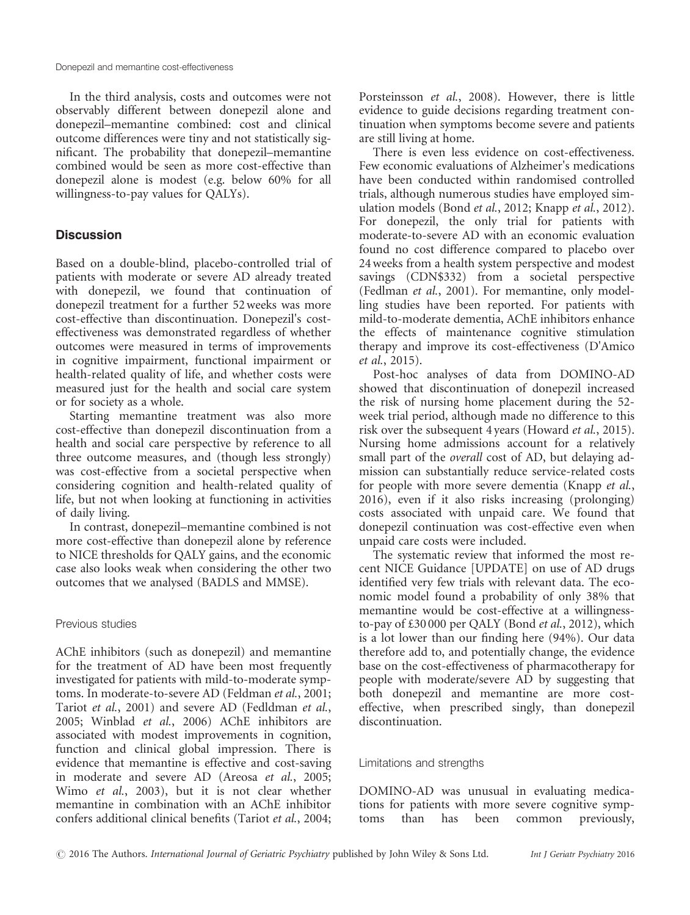Donepezil and memantine cost-effectiveness

In the third analysis, costs and outcomes were not observably different between donepezil alone and donepezil–memantine combined: cost and clinical outcome differences were tiny and not statistically significant. The probability that donepezil–memantine combined would be seen as more cost-effective than donepezil alone is modest (e.g. below 60% for all willingness-to-pay values for QALYs).

# **Discussion**

Based on a double-blind, placebo-controlled trial of patients with moderate or severe AD already treated with donepezil, we found that continuation of donepezil treatment for a further 52weeks was more cost-effective than discontinuation. Donepezil's costeffectiveness was demonstrated regardless of whether outcomes were measured in terms of improvements in cognitive impairment, functional impairment or health-related quality of life, and whether costs were measured just for the health and social care system or for society as a whole.

Starting memantine treatment was also more cost-effective than donepezil discontinuation from a health and social care perspective by reference to all three outcome measures, and (though less strongly) was cost-effective from a societal perspective when considering cognition and health-related quality of life, but not when looking at functioning in activities of daily living.

In contrast, donepezil–memantine combined is not more cost-effective than donepezil alone by reference to NICE thresholds for QALY gains, and the economic case also looks weak when considering the other two outcomes that we analysed (BADLS and MMSE).

# Previous studies

AChE inhibitors (such as donepezil) and memantine for the treatment of AD have been most frequently investigated for patients with mild-to-moderate symptoms. In moderate-to-severe AD (Feldman et al., 2001; Tariot et al., 2001) and severe AD (Fedldman et al., 2005; Winblad et al., 2006) AChE inhibitors are associated with modest improvements in cognition, function and clinical global impression. There is evidence that memantine is effective and cost-saving in moderate and severe AD (Areosa et al., 2005; Wimo et al., 2003), but it is not clear whether memantine in combination with an AChE inhibitor confers additional clinical benefits (Tariot et al., 2004;

Porsteinsson et al., 2008). However, there is little evidence to guide decisions regarding treatment continuation when symptoms become severe and patients are still living at home.

There is even less evidence on cost-effectiveness. Few economic evaluations of Alzheimer's medications have been conducted within randomised controlled trials, although numerous studies have employed simulation models (Bond et al., 2012; Knapp et al., 2012). For donepezil, the only trial for patients with moderate-to-severe AD with an economic evaluation found no cost difference compared to placebo over 24weeks from a health system perspective and modest savings (CDN\$332) from a societal perspective (Fedlman et al., 2001). For memantine, only modelling studies have been reported. For patients with mild-to-moderate dementia, AChE inhibitors enhance the effects of maintenance cognitive stimulation therapy and improve its cost-effectiveness (D'Amico et al., 2015).

Post-hoc analyses of data from DOMINO-AD showed that discontinuation of donepezil increased the risk of nursing home placement during the 52 week trial period, although made no difference to this risk over the subsequent 4 years (Howard et al., 2015). Nursing home admissions account for a relatively small part of the overall cost of AD, but delaying admission can substantially reduce service-related costs for people with more severe dementia (Knapp et al., 2016), even if it also risks increasing (prolonging) costs associated with unpaid care. We found that donepezil continuation was cost-effective even when unpaid care costs were included.

The systematic review that informed the most recent NICE Guidance [UPDATE] on use of AD drugs identified very few trials with relevant data. The economic model found a probability of only 38% that memantine would be cost-effective at a willingnessto-pay of £30 000 per QALY (Bond et al., 2012), which is a lot lower than our finding here (94%). Our data therefore add to, and potentially change, the evidence base on the cost-effectiveness of pharmacotherapy for people with moderate/severe AD by suggesting that both donepezil and memantine are more costeffective, when prescribed singly, than donepezil discontinuation.

#### Limitations and strengths

DOMINO-AD was unusual in evaluating medications for patients with more severe cognitive symptoms than has been common previously,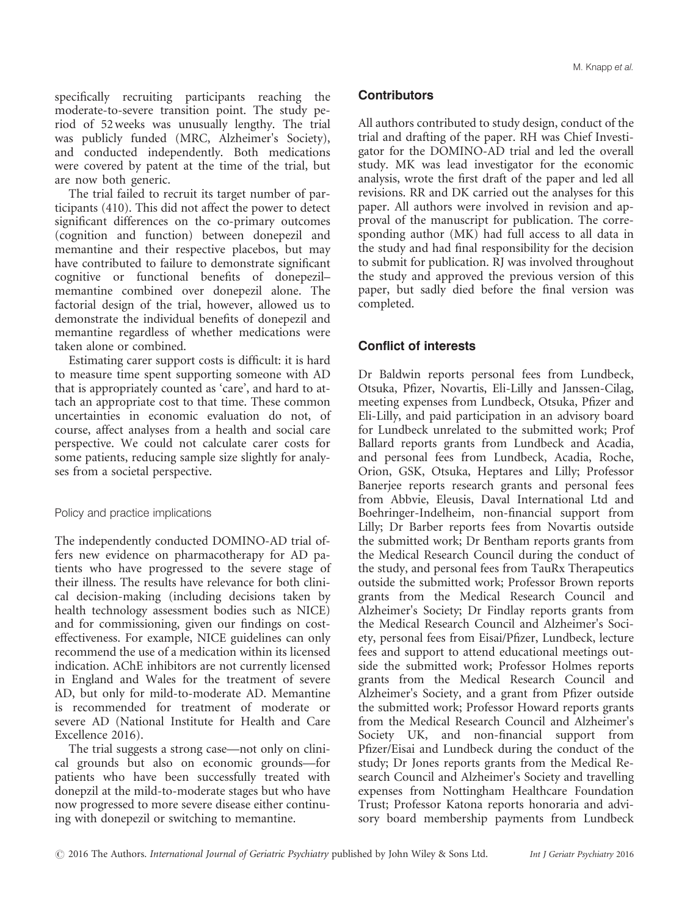specifically recruiting participants reaching the moderate-to-severe transition point. The study period of 52weeks was unusually lengthy. The trial was publicly funded (MRC, Alzheimer's Society), and conducted independently. Both medications were covered by patent at the time of the trial, but are now both generic.

The trial failed to recruit its target number of participants (410). This did not affect the power to detect significant differences on the co-primary outcomes (cognition and function) between donepezil and memantine and their respective placebos, but may have contributed to failure to demonstrate significant cognitive or functional benefits of donepezil– memantine combined over donepezil alone. The factorial design of the trial, however, allowed us to demonstrate the individual benefits of donepezil and memantine regardless of whether medications were taken alone or combined.

Estimating carer support costs is difficult: it is hard to measure time spent supporting someone with AD that is appropriately counted as 'care', and hard to attach an appropriate cost to that time. These common uncertainties in economic evaluation do not, of course, affect analyses from a health and social care perspective. We could not calculate carer costs for some patients, reducing sample size slightly for analyses from a societal perspective.

# Policy and practice implications

The independently conducted DOMINO-AD trial offers new evidence on pharmacotherapy for AD patients who have progressed to the severe stage of their illness. The results have relevance for both clinical decision-making (including decisions taken by health technology assessment bodies such as NICE) and for commissioning, given our findings on costeffectiveness. For example, NICE guidelines can only recommend the use of a medication within its licensed indication. AChE inhibitors are not currently licensed in England and Wales for the treatment of severe AD, but only for mild-to-moderate AD. Memantine is recommended for treatment of moderate or severe AD (National Institute for Health and Care Excellence 2016).

The trial suggests a strong case—not only on clinical grounds but also on economic grounds—for patients who have been successfully treated with donepzil at the mild-to-moderate stages but who have now progressed to more severe disease either continuing with donepezil or switching to memantine.

## **Contributors**

All authors contributed to study design, conduct of the trial and drafting of the paper. RH was Chief Investigator for the DOMINO-AD trial and led the overall study. MK was lead investigator for the economic analysis, wrote the first draft of the paper and led all revisions. RR and DK carried out the analyses for this paper. All authors were involved in revision and approval of the manuscript for publication. The corresponding author (MK) had full access to all data in the study and had final responsibility for the decision to submit for publication. RJ was involved throughout the study and approved the previous version of this paper, but sadly died before the final version was completed.

# Conflict of interests

Dr Baldwin reports personal fees from Lundbeck, Otsuka, Pfizer, Novartis, Eli-Lilly and Janssen-Cilag, meeting expenses from Lundbeck, Otsuka, Pfizer and Eli-Lilly, and paid participation in an advisory board for Lundbeck unrelated to the submitted work; Prof Ballard reports grants from Lundbeck and Acadia, and personal fees from Lundbeck, Acadia, Roche, Orion, GSK, Otsuka, Heptares and Lilly; Professor Banerjee reports research grants and personal fees from Abbvie, Eleusis, Daval International Ltd and Boehringer-Indelheim, non-financial support from Lilly; Dr Barber reports fees from Novartis outside the submitted work; Dr Bentham reports grants from the Medical Research Council during the conduct of the study, and personal fees from TauRx Therapeutics outside the submitted work; Professor Brown reports grants from the Medical Research Council and Alzheimer's Society; Dr Findlay reports grants from the Medical Research Council and Alzheimer's Society, personal fees from Eisai/Pfizer, Lundbeck, lecture fees and support to attend educational meetings outside the submitted work; Professor Holmes reports grants from the Medical Research Council and Alzheimer's Society, and a grant from Pfizer outside the submitted work; Professor Howard reports grants from the Medical Research Council and Alzheimer's Society UK, and non-financial support from Pfizer/Eisai and Lundbeck during the conduct of the study; Dr Jones reports grants from the Medical Research Council and Alzheimer's Society and travelling expenses from Nottingham Healthcare Foundation Trust; Professor Katona reports honoraria and advisory board membership payments from Lundbeck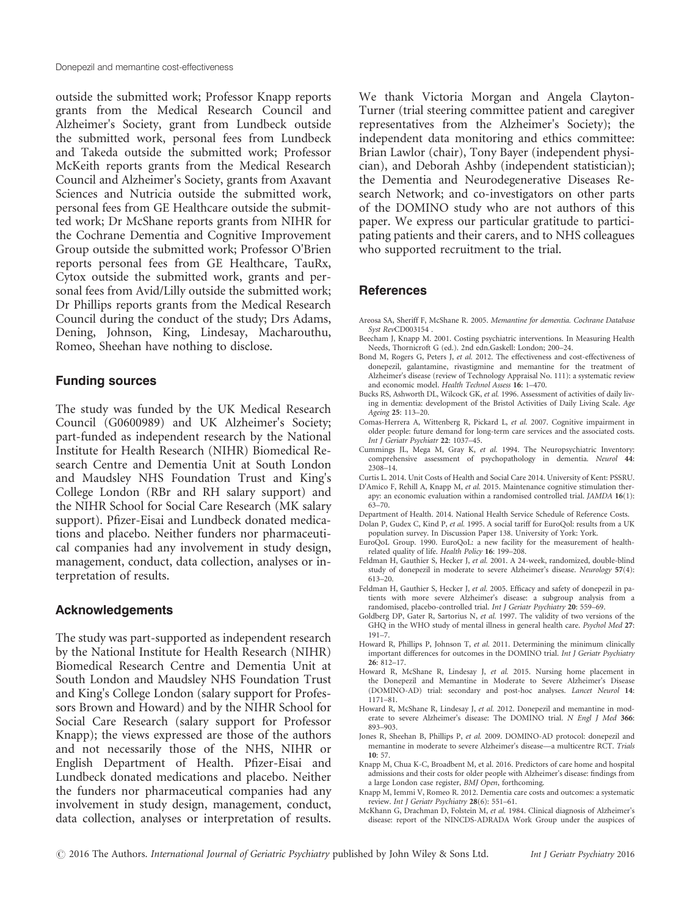Donepezil and memantine cost-effectiveness

outside the submitted work; Professor Knapp reports grants from the Medical Research Council and Alzheimer's Society, grant from Lundbeck outside the submitted work, personal fees from Lundbeck and Takeda outside the submitted work; Professor McKeith reports grants from the Medical Research Council and Alzheimer's Society, grants from Axavant Sciences and Nutricia outside the submitted work, personal fees from GE Healthcare outside the submitted work; Dr McShane reports grants from NIHR for the Cochrane Dementia and Cognitive Improvement Group outside the submitted work; Professor O'Brien reports personal fees from GE Healthcare, TauRx, Cytox outside the submitted work, grants and personal fees from Avid/Lilly outside the submitted work; Dr Phillips reports grants from the Medical Research Council during the conduct of the study; Drs Adams, Dening, Johnson, King, Lindesay, Macharouthu, Romeo, Sheehan have nothing to disclose.

# Funding sources

The study was funded by the UK Medical Research Council (G0600989) and UK Alzheimer's Society; part-funded as independent research by the National Institute for Health Research (NIHR) Biomedical Research Centre and Dementia Unit at South London and Maudsley NHS Foundation Trust and King's College London (RBr and RH salary support) and the NIHR School for Social Care Research (MK salary support). Pfizer-Eisai and Lundbeck donated medications and placebo. Neither funders nor pharmaceutical companies had any involvement in study design, management, conduct, data collection, analyses or interpretation of results.

# Acknowledgements

The study was part-supported as independent research by the National Institute for Health Research (NIHR) Biomedical Research Centre and Dementia Unit at South London and Maudsley NHS Foundation Trust and King's College London (salary support for Professors Brown and Howard) and by the NIHR School for Social Care Research (salary support for Professor Knapp); the views expressed are those of the authors and not necessarily those of the NHS, NIHR or English Department of Health. Pfizer-Eisai and Lundbeck donated medications and placebo. Neither the funders nor pharmaceutical companies had any involvement in study design, management, conduct, data collection, analyses or interpretation of results.

We thank Victoria Morgan and Angela Clayton-Turner (trial steering committee patient and caregiver representatives from the Alzheimer's Society); the independent data monitoring and ethics committee: Brian Lawlor (chair), Tony Bayer (independent physician), and Deborah Ashby (independent statistician); the Dementia and Neurodegenerative Diseases Research Network; and co-investigators on other parts of the DOMINO study who are not authors of this paper. We express our particular gratitude to participating patients and their carers, and to NHS colleagues who supported recruitment to the trial.

# **References**

- Areosa SA, Sheriff F, McShane R. 2005. Memantine for dementia. Cochrane Database Syst RevCD003154 .
- Beecham J, Knapp M. 2001. Costing psychiatric interventions. In Measuring Health Needs, Thornicroft G (ed.). 2nd edn.Gaskell: London; 200–24.
- Bond M, Rogers G, Peters J, et al. 2012. The effectiveness and cost-effectiveness of donepezil, galantamine, rivastigmine and memantine for the treatment of Alzheimer's disease (review of Technology Appraisal No. 111): a systematic review and economic model. Health Technol Assess 16: 1–470.
- Bucks RS, Ashworth DL, Wilcock GK, et al. 1996. Assessment of activities of daily living in dementia: development of the Bristol Activities of Daily Living Scale. Age Ageing 25: 113–20.
- Comas-Herrera A, Wittenberg R, Pickard L, et al. 2007. Cognitive impairment in older people: future demand for long-term care services and the associated costs. Int J Geriatr Psychiatr 22: 1037–45.
- Cummings JL, Mega M, Gray K, et al. 1994. The Neuropsychiatric Inventory: comprehensive assessment of psychopathology in dementia. Neurol 44: 2308–14.
- Curtis L. 2014. Unit Costs of Health and Social Care 2014. University of Kent: PSSRU. D'Amico F, Rehill A, Knapp M, et al. 2015. Maintenance cognitive stimulation ther-
- apy: an economic evaluation within a randomised controlled trial. JAMDA 16(1): 63–70.
- Department of Health. 2014. National Health Service Schedule of Reference Costs. Dolan P, Gudex C, Kind P, et al. 1995. A social tariff for EuroQol: results from a UK
- population survey. In Discussion Paper 138. University of York: York. EuroQoL Group. 1990. EuroQoL: a new facility for the measurement of health-
- related quality of life. Health Policy 16: 199–208. Feldman H, Gauthier S, Hecker J, et al. 2001. A 24-week, randomized, double-blind study of donepezil in moderate to severe Alzheimer's disease. Neurology 57(4): 613–20.
- Feldman H, Gauthier S, Hecker J, et al. 2005. Efficacy and safety of donepezil in patients with more severe Alzheimer's disease: a subgroup analysis from a randomised, placebo-controlled trial. Int J Geriatr Psychiatry 20: 559–69.
- Goldberg DP, Gater R, Sartorius N, et al. 1997. The validity of two versions of the GHQ in the WHO study of mental illness in general health care. Psychol Med 27: 191–7.
- Howard R, Phillips P, Johnson T, et al. 2011. Determining the minimum clinically important differences for outcomes in the DOMINO trial. Int J Geriatr Psychiatry  $26: 812 - 17.$
- Howard R, McShane R, Lindesay J, et al. 2015. Nursing home placement in the Donepezil and Memantine in Moderate to Severe Alzheimer's Disease (DOMINO-AD) trial: secondary and post-hoc analyses. Lancet Neurol 14: 1171–81.
- Howard R, McShane R, Lindesay J, et al. 2012. Donepezil and memantine in moderate to severe Alzheimer's disease: The DOMINO trial. N Engl J Med 366: 893–903.
- Jones R, Sheehan B, Phillips P, et al. 2009. DOMINO-AD protocol: donepezil and memantine in moderate to severe Alzheimer's disease—a multicentre RCT. Trials 10: 57.
- Knapp M, Chua K-C, Broadbent M, et al. 2016. Predictors of care home and hospital admissions and their costs for older people with Alzheimer's disease: findings from a large London case register, BMJ Open, forthcoming.
- Knapp M, Iemmi V, Romeo R. 2012. Dementia care costs and outcomes: a systematic review. Int J Geriatr Psychiatry 28(6): 551–61.
- McKhann G, Drachman D, Folstein M, et al. 1984. Clinical diagnosis of Alzheimer's disease: report of the NINCDS-ADRADA Work Group under the auspices of